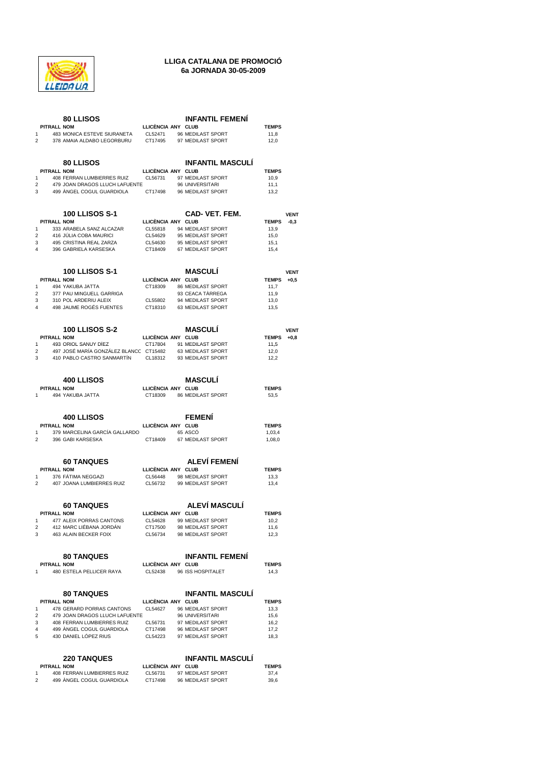

## **LLIGA CATALANA DE PROMOCIÓ 6a JORNADA 30-05-2009**

|                         |                    | <b>80 LLISOS</b>                                                     |                    | <b>INFANTIL FEMENI</b>                 |                      |             |
|-------------------------|--------------------|----------------------------------------------------------------------|--------------------|----------------------------------------|----------------------|-------------|
|                         | PITRALL NOM        |                                                                      | LLICÉNCIA ANY CLUB |                                        | <b>TEMPS</b>         |             |
| 1<br>2                  |                    | 483 MONICA ESTEVE SIURANETA<br>378 AMAIA ALDABO LEGORBURU            | CL52471<br>CT17495 | 96 MEDILAST SPORT<br>97 MEDILAST SPORT | 11,8<br>12,0         |             |
|                         |                    |                                                                      |                    |                                        |                      |             |
|                         |                    |                                                                      |                    |                                        |                      |             |
|                         |                    | 80 LLISOS                                                            |                    | <b>INFANTIL MASCULI</b>                |                      |             |
|                         | <b>PITRALL NOM</b> |                                                                      | LLICÈNCIA ANY CLUB |                                        | <b>TEMPS</b>         |             |
| 1                       |                    | 408 FERRAN LUMBIERRES RUIZ                                           | CL56731            | 97 MEDILAST SPORT                      | 10,9                 |             |
| 2                       |                    | 479 JOAN DRAGOS LLUCH LAFUENTE                                       |                    | 96 UNIVERSITARI                        | 11,1                 |             |
| 3                       |                    | 499 ANGEL COGUL GUARDIOLA                                            | CT17498            | 96 MEDILAST SPORT                      | 13,2                 |             |
|                         |                    |                                                                      |                    |                                        |                      |             |
|                         |                    | 100 LLISOS S-1                                                       |                    | CAD-VET. FEM.                          |                      | <b>VENT</b> |
|                         | <b>PITRALL NOM</b> |                                                                      | LLICÈNCIA ANY CLUB |                                        | <b>TEMPS</b>         | $-0,3$      |
| 1                       |                    | 333 ARABELA SANZ ALCAZAR                                             | CL55818            | 94 MEDILAST SPORT                      | 13,9                 |             |
| 2                       |                    | 416 JULIA COBA MAURICI                                               | CL54629            | 95 MEDILAST SPORT                      | 15,0                 |             |
| 3                       |                    | 495 CRISTINA REAL ZARZA                                              | CL54630            | 95 MEDILAST SPORT                      | 15,1                 |             |
| 4                       |                    | 396 GABRIELA KARSESKA                                                | CT18409            | 67 MEDILAST SPORT                      | 15,4                 |             |
|                         |                    |                                                                      |                    |                                        |                      |             |
|                         |                    |                                                                      |                    |                                        |                      |             |
|                         |                    | 100 LLISOS S-1                                                       | LLICÈNCIA ANY CLUB | <b>MASCULI</b>                         |                      | <b>VENT</b> |
| 1                       | PITRALL NOM        | 494 YAKUBA JATTA                                                     | CT18309            | 86 MEDILAST SPORT                      | <b>TEMPS</b><br>11,7 | $+0,5$      |
| 2                       |                    | 377 PAU MINGUELL GARRIGA                                             |                    | 93 CEACA TARREGA                       | 11,9                 |             |
| 3                       |                    | 310 POL ARDERIU ALEIX                                                | CL55802            | 94 MEDILAST SPORT                      | 13,0                 |             |
| $\overline{\mathbf{A}}$ |                    | 498 JAUME ROGÉS FUENTES                                              | CT18310            | 63 MEDILAST SPORT                      | 13,5                 |             |
|                         |                    |                                                                      |                    |                                        |                      |             |
|                         |                    |                                                                      |                    |                                        |                      |             |
|                         |                    | <b>100 LLISOS S-2</b>                                                |                    | <b>MASCULI</b>                         |                      | <b>VENT</b> |
|                         | PITRALL NOM        |                                                                      | LLICÈNCIA ANY CLUB |                                        | <b>TEMPS</b>         | $+0,8$      |
| 1                       |                    | 493 ORIOL SANUY DIEZ                                                 | CT17804            | 91 MEDILAST SPORT                      | 11,5                 |             |
| $\overline{2}$<br>3     |                    | 497 JOSÉ MARÍA GONZÁLEZ BLANCC CT15482<br>410 PABLO CASTRO SANMARTIN | CL18312            | 63 MEDILAST SPORT<br>93 MEDILAST SPORT | 12,0<br>12,2         |             |
|                         |                    |                                                                      |                    |                                        |                      |             |
|                         |                    |                                                                      |                    |                                        |                      |             |
|                         |                    | <b>400 LLISOS</b>                                                    |                    | <b>MASCULI</b>                         |                      |             |
|                         | PITRALL NOM        |                                                                      | LLICÉNCIA ANY CLUB |                                        | <b>TEMPS</b>         |             |
| 1                       |                    | 494 YAKUBA JATTA                                                     | CT18309            | 86 MEDILAST SPORT                      | 53,5                 |             |
|                         |                    |                                                                      |                    |                                        |                      |             |
|                         |                    |                                                                      |                    |                                        |                      |             |
|                         |                    | <b>400 LLISOS</b>                                                    |                    | <b>FEMENI</b>                          |                      |             |
|                         | <b>PITRALL NOM</b> |                                                                      | LLICÈNCIA ANY CLUB |                                        | <b>TEMPS</b>         |             |
| 1<br>2                  |                    | 379 MARCELINA GARCÍA GALLARDO<br>396 GABI KARSESKA                   | CT18409            | 65 ASCO<br>67 MEDILAST SPORT           | 1,03,4<br>1,08,0     |             |
|                         |                    |                                                                      |                    |                                        |                      |             |
|                         |                    |                                                                      |                    |                                        |                      |             |
|                         |                    | <b>60 TANQUES</b>                                                    |                    | <b>ALEVI FEMENI</b>                    |                      |             |
|                         | PITRALL NOM        |                                                                      | LLICÈNCIA ANY CLUB |                                        | <b>TEMPS</b>         |             |
| 1                       |                    | 376 FATIMA NEGGAZI                                                   | CL56448            | 98 MEDILAST SPORT                      | 13,3                 |             |
| 2                       |                    | 407 JOANA LUMBIERRES RUIZ                                            | CL56732            | 99 MEDILAST SPORT                      | 13,4                 |             |
|                         |                    |                                                                      |                    |                                        |                      |             |
|                         |                    |                                                                      |                    | <b>ALEVÍ MASCULÍ</b>                   |                      |             |
|                         | PITRALL NOM        | <b>60 TANQUES</b>                                                    | LLICÈNCIA ANY CLUB |                                        | <b>TEMPS</b>         |             |
| 1                       |                    | 477 ALEIX PORRAS CANTONS                                             | CL54628            | 99 MEDILAST SPORT                      | 10,2                 |             |
| 2                       |                    | 412 MARC LIÉBANA JORDÁN                                              | CT17500            | 98 MEDILAST SPORT                      | 11,6                 |             |
| 3                       |                    | 463 ALAIN BECKER FOIX                                                | CL56734            | 98 MEDILAST SPORT                      | 12,3                 |             |
|                         |                    |                                                                      |                    |                                        |                      |             |
|                         |                    |                                                                      |                    |                                        |                      |             |
|                         |                    | <b>80 TANQUES</b>                                                    |                    | <b>INFANTIL FEMENI</b>                 |                      |             |
|                         | <b>PITRALL NOM</b> |                                                                      | LLICÈNCIA ANY CLUB |                                        | <b>TEMPS</b>         |             |
| 1                       |                    | 480 ESTELA PELLICER RAYA                                             | CL52438            | 96 ISS HOSPITALET                      | 14,3                 |             |
|                         |                    |                                                                      |                    |                                        |                      |             |
|                         |                    | <b>80 TANQUES</b>                                                    |                    | <b>INFANTIL MASCULI</b>                |                      |             |
|                         | PITRALL NOM        |                                                                      | LLICÈNCIA ANY CLUB |                                        | <b>TEMPS</b>         |             |
| 1                       |                    | 478 GERARD PORRAS CANTONS                                            | CL54627            | 96 MEDILAST SPORT                      | 13,3                 |             |
| 2                       |                    | 479 JOAN DRAGOS LLUCH LAFUENTE                                       |                    | 96 UNIVERSITARI                        | 15,6                 |             |
| 3                       |                    | 408 FERRAN LUMBIERRES RUIZ                                           | CL56731            | 97 MEDILAST SPORT                      | 16,2                 |             |
| 4                       |                    | 499 ANGEL COGUL GUARDIOLA                                            | CT17498            | 96 MEDILAST SPORT                      | 17,2                 |             |
| 5                       |                    | 430 DANIEL LÓPEZ RIUS                                                | CL54223            | 97 MEDILAST SPORT                      | 18,3                 |             |
|                         |                    |                                                                      |                    |                                        |                      |             |
|                         |                    |                                                                      |                    |                                        |                      |             |
|                         |                    | <b>220 TANQUES</b>                                                   |                    | <b>INFANTIL MASCULI</b>                |                      |             |
|                         | PITRALL NOM        |                                                                      | LLICÉNCIA ANY CLUB |                                        | <b>TEMPS</b>         |             |
| 1                       |                    | 408 FERRAN LUMBIERRES RUIZ<br>499 ÀNGEL COGUL GUARDIOLA              | CL56731            | 97 MEDILAST SPORT                      | 37,4                 |             |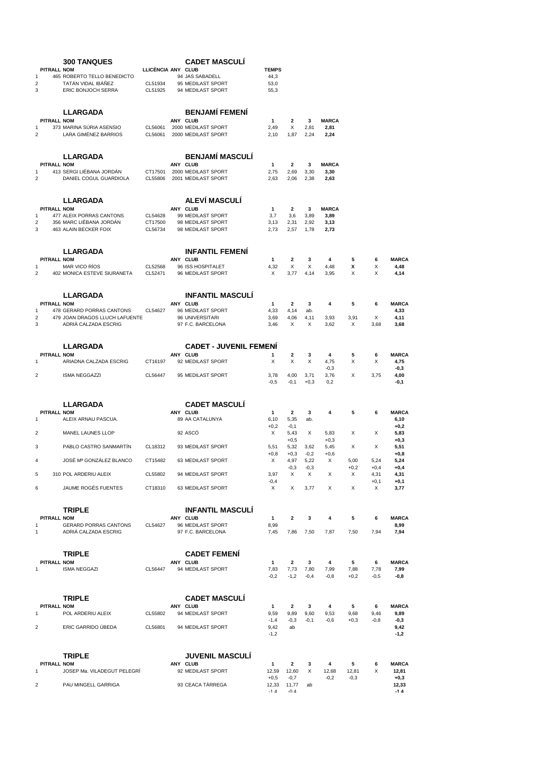|                         | <b>300 TANQUES</b>                                |                    | <b>CADET MASCULI</b>                      |                 |                                 |             |                |             |                |                       |
|-------------------------|---------------------------------------------------|--------------------|-------------------------------------------|-----------------|---------------------------------|-------------|----------------|-------------|----------------|-----------------------|
| <b>PITRALL NOM</b>      |                                                   | LLICÈNCIA ANY CLUB |                                           | <b>TEMPS</b>    |                                 |             |                |             |                |                       |
| 1<br>$\overline{2}$     | 465 ROBERTO TELLO BENEDICTO<br>TATÁN VIDAL IBÁÑEZ | CL51934            | 94 JAS SABADELL<br>95 MEDILAST SPORT      | 44,3<br>53,0    |                                 |             |                |             |                |                       |
| 3                       | ERIC BONJOCH SERRA                                | CL51925            | 94 MEDILAST SPORT                         | 55,3            |                                 |             |                |             |                |                       |
|                         |                                                   |                    |                                           |                 |                                 |             |                |             |                |                       |
|                         | <b>LLARGADA</b>                                   |                    | <b>BENJAMÍ FEMENÍ</b>                     |                 |                                 |             |                |             |                |                       |
| PITRALL NOM             |                                                   |                    | ANY CLUB                                  | 1               | 2                               | 3           | <b>MARCA</b>   |             |                |                       |
| 1                       | 373 MARINA SÚRIA ASENSIO                          | CL56061            | 2000 MEDILAST SPORT                       | 2,49            | X                               | 2,81        | 2,81           |             |                |                       |
| $\overline{\mathbf{c}}$ | LARA GIMÉNEZ BARRIOS                              | CL56061            | 2000 MEDILAST SPORT                       | 2,10            | 1,87                            | 2,24        | 2,24           |             |                |                       |
|                         |                                                   |                    |                                           |                 |                                 |             |                |             |                |                       |
| PITRALL NOM             | <b>LLARGADA</b>                                   |                    | <b>BENJAMÍ MASCULÍ</b><br>ANY CLUB        | 1               | 2                               | 3           | <b>MARCA</b>   |             |                |                       |
| 1                       | 413 SERGI LIÉBANA JORDAN                          | CT17501            | 2000 MEDILAST SPORT                       | 2,75            | 2,69                            | 3,30        | 3,30           |             |                |                       |
| $\overline{c}$          | DANIEL COGUL GUARDIOLA                            | CL55806            | 2001 MEDILAST SPORT                       | 2,63            | 2,06                            | 2,38        | 2,63           |             |                |                       |
|                         |                                                   |                    |                                           |                 |                                 |             |                |             |                |                       |
| PITRALL NOM             | <b>LLARGADA</b>                                   |                    | ALEVÍ MASCULÍ<br>ANY CLUB                 | 1               | $\mathbf{2}$                    | 3           | <b>MARCA</b>   |             |                |                       |
| 1                       | 477 ALEIX PORRAS CANTONS                          | CL54628            | 99 MEDILAST SPORT                         | 3,7             | 3,6                             | 3,89        | 3,89           |             |                |                       |
| $\overline{2}$          | 356 MARC LIÉBANA JORDAN                           | CT17500            | 98 MEDILAST SPORT                         | 3,13            | 2,31                            | 2,92        | 3,13           |             |                |                       |
| 3                       | 463 ALAIN BECKER FOIX                             | CL56734            | 98 MEDILAST SPORT                         | 2,73            | 2,57                            | 1,78        | 2,73           |             |                |                       |
|                         |                                                   |                    |                                           |                 |                                 |             |                |             |                |                       |
| <b>PITRALL NOM</b>      | <b>LLARGADA</b>                                   |                    | <b>INFANTIL FEMENI</b><br>ANY CLUB        |                 |                                 |             |                |             |                |                       |
| 1                       | <b>MAR VICO RÍOS</b>                              | CL52568            | 96 ISS HOSPITALET                         | 1<br>4,32       | 2<br>Х                          | 3<br>Х      | 4<br>4,48      | 5<br>x      | 6<br>Х         | <b>MARCA</b><br>4,48  |
| $\overline{\mathbf{c}}$ | 402 MONICA ESTEVE SIURANETA                       | CL52471            | 96 MEDILAST SPORT                         | Х               | 3,77                            | 4,14        | 3,95           | х           | X              | 4,14                  |
|                         |                                                   |                    |                                           |                 |                                 |             |                |             |                |                       |
|                         | LLARGADA                                          |                    | <b>INFANTIL MASCULI</b>                   |                 |                                 |             |                |             |                |                       |
| PITRALL NOM<br>1        | 478 GERARD PORRAS CANTONS                         | CL54627            | ANY CLUB<br>96 MEDILAST SPORT             | 1<br>4,33       | 2<br>4,14                       | 3<br>ab.    | 4              | 5           | 6              | <b>MARCA</b><br>4,33  |
| 2                       | 479 JOAN DRAGOS LLUCH LAFUENTE                    |                    | 96 UNIVERSITARI                           | 3,69            | 4,06                            | 4,11        | 3,93           | 3,91        | X              | 4,11                  |
| 3                       | ADRIÀ CALZADA ESCRIG                              |                    | 97 F.C. BARCELONA                         | 3,46            | X                               | X           | 3,62           | X           | 3,68           | 3,68                  |
|                         |                                                   |                    |                                           |                 |                                 |             |                |             |                |                       |
| PITRALL NOM             | LLARGADA                                          |                    | <b>CADET - JUVENIL FEMENI</b><br>ANY CLUB | 1               | 2                               | 3           | 4              | 5           | 6              | <b>MARCA</b>          |
| 1                       | ARIADNA CALZADA ESCRIG                            | CT16197            | 92 MEDILAST SPORT                         | X               | X                               | X           | 4,75           | X           | X              | 4,75                  |
| 2                       | <b>ISMA NEGGAZZI</b>                              | CL56447            | 95 MEDILAST SPORT                         | 3,78            | 4,00                            | 3,71        | $-0,3$<br>3,76 | X           | 3,75           | $-0,3$<br>4,00        |
|                         |                                                   |                    |                                           | $-0,5$          | $-0,1$                          | $+0,3$      | 0,2            |             |                | $-0,1$                |
|                         |                                                   |                    |                                           |                 |                                 |             |                |             |                |                       |
|                         | <b>LLARGADA</b>                                   |                    | <b>CADET MASCULI</b>                      |                 |                                 |             |                |             |                |                       |
| PITRALL NOM<br>1        | ALEIX ARNAU PASCUA.                               |                    | ANY CLUB<br>89 AA CATALUNYA               | 1<br>6,10       | 2<br>5,35                       | 3<br>ab.    | 4              | 5           | 6              | <b>MARCA</b><br>6, 10 |
|                         |                                                   |                    |                                           | $+0,2$          | $-0,1$                          |             |                |             |                | $+0,2$                |
| 2                       | <b>MANEL LAUNES LLOP</b>                          |                    | 92 ASCO                                   | Х               | 5,43                            | X           | 5,83           | X           | X              | 5,83                  |
| 3                       | PABLO CASTRO SANMARTIN                            | CL18312            | 93 MEDILAST SPORT                         | 5,51            | $+0,5$<br>5,32                  | 3,62        | $+0,3$<br>5,45 | х           | Х              | $+0,3$<br>5,51        |
|                         |                                                   |                    |                                           | $+0.8$          | $+0,3$                          | $-0,2$      | $+0,6$         |             |                | $+0,8$                |
| 4                       | JOSÉ Mª GONZÁLEZ BLANCO                           | CT15482            | 63 MEDILAST SPORT                         | X               | 4,97                            | 5,22        | X              | 5,00        | 5,24           | 5,24                  |
| 5                       | 310 POL ARDERIU ALEIX                             | CL55802            | 94 MEDILAST SPORT                         | 3,97            | $-0,3$<br>Χ                     | $-0,3$<br>X | Х              | $+0,2$<br>X | $+0,4$<br>4,31 | $+0,4$<br>4,31        |
|                         |                                                   |                    |                                           | $-0,4$          |                                 |             |                |             | $+0,1$         | $+0,1$                |
| 6                       | JAUME ROGÉS FUENTES                               | CT18310            | 63 MEDILAST SPORT                         | Х               | X                               | 3,77        | X              | X           | X              | 3,77                  |
|                         |                                                   |                    |                                           |                 |                                 |             |                |             |                |                       |
| PITRALL NOM             | <b>TRIPLE</b>                                     |                    | <b>INFANTIL MASCULI</b><br>ANY CLUB       | 1               | $\overline{\mathbf{2}}$         | 3           | 4              | 5           | 6              | <b>MARCA</b>          |
| 1                       | <b>GERARD PORRAS CANTONS</b>                      | CL54627            | 96 MEDILAST SPORT                         | 8,99            |                                 |             |                |             |                | 8,99                  |
| 1                       | ADRIA CALZADA ESCRIG                              |                    | 97 F.C. BARCELONA                         | 7,45            | 7,86                            | 7,50        | 7,87           | 7,50        | 7,94           | 7,94                  |
|                         |                                                   |                    |                                           |                 |                                 |             |                |             |                |                       |
| <b>PITRALL NOM</b>      | <b>TRIPLE</b>                                     |                    | <b>CADET FEMENI</b><br>ANY CLUB           | 1               | $\overline{\mathbf{2}}$         | 3           | 4              | 5           | 6              | <b>MARCA</b>          |
| 1                       | <b>ISMA NEGGAZI</b>                               | CL56447            | 94 MEDILAST SPORT                         | 7,83            | 7,73                            | 7,80        | 7,99           | 7,88        | 7,78           | 7,99                  |
|                         |                                                   |                    |                                           | $-0,2$          | $-1,2$                          | $-0,4$      | $-0,8$         | $+0,2$      | $-0,5$         | $-0.8$                |
|                         |                                                   |                    |                                           |                 |                                 |             |                |             |                |                       |
|                         | <b>TRIPLE</b>                                     |                    | <b>CADET MASCULI</b>                      |                 |                                 |             |                |             |                |                       |
| PITRALL NOM<br>1        | POL ARDERIU ALEIX                                 | CL55802            | ANY CLUB<br>94 MEDILAST SPORT             | 1<br>9,59       | $\overline{\mathbf{2}}$<br>9,89 | 3<br>9,60   | 4<br>9,53      | 5<br>9,68   | 6<br>9,46      | <b>MARCA</b><br>9,89  |
|                         |                                                   |                    |                                           | $-1,4$          | $-0,3$                          | $-0,1$      | $-0,6$         | $+0,3$      | $-0,8$         | $-0,3$                |
| 2                       | ERIC GARRIDO ÚBEDA                                | CL56801            | 94 MEDILAST SPORT                         | 9,42<br>$-1,2$  | ab                              |             |                |             |                | 9,42<br>$-1,2$        |
|                         |                                                   |                    |                                           |                 |                                 |             |                |             |                |                       |
|                         | <b>TRIPLE</b>                                     |                    | <b>JUVENIL MASCULI</b>                    |                 |                                 |             |                |             |                |                       |
| PITRALL NOM             |                                                   |                    | ANY CLUB                                  | 1               | $\overline{\mathbf{2}}$         | 3           | 4              | 5           | 6              | <b>MARCA</b>          |
| 1                       | JOSEP Ma. VILADEGUT PELEGRÍ                       |                    | 92 MEDILAST SPORT                         | 12,59           | 12,60                           | х           | 12,68          | 12,81       | X              | 12,81                 |
| 2                       | PAU MINGELL GARRIGA                               |                    | 93 CEACA TARREGA                          | $+0,5$<br>12,33 | $-0,7$<br>11,77                 | ab          | $-0,2$         | $-0,3$      |                | $+0,3$<br>12,33       |
|                         |                                                   |                    |                                           | $-1A$           | $\Lambda$                       |             |                |             |                | $-1A$                 |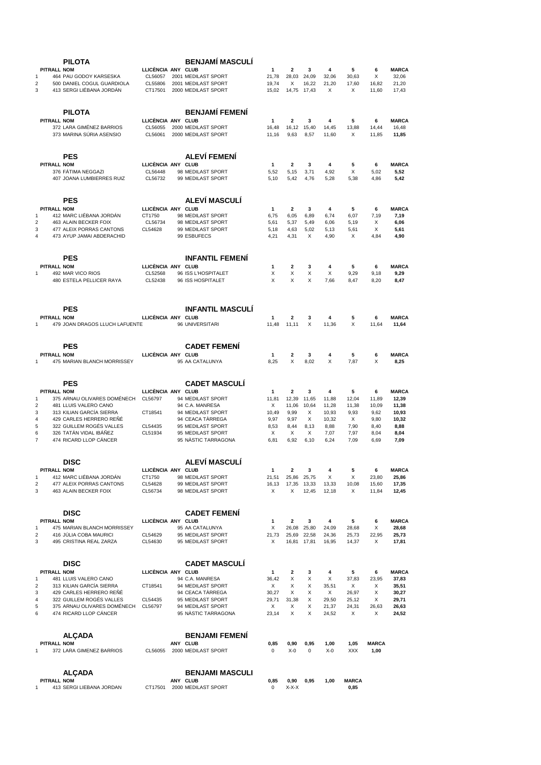|                    | PILOTA                                                |                               | <b>BENJAMI MASCULI</b>                     |                |                       |                |                |                |               |                       |
|--------------------|-------------------------------------------------------|-------------------------------|--------------------------------------------|----------------|-----------------------|----------------|----------------|----------------|---------------|-----------------------|
| PITRALL NOM        |                                                       | LLICÈNCIA ANY CLUB            |                                            | 1              | $\mathbf{2}$          | 3              | 4              | 5              | 6             | <b>MARCA</b>          |
| 1<br>2             | 464 PAU GODOY KARSESKA<br>500 DANIEL COGUL GUARDIOLA  | CL56057<br>CL55806            | 2001 MEDILAST SPORT<br>2001 MEDILAST SPORT | 21,78<br>19,74 | 28,03<br>X            | 24,09<br>16,22 | 32,06<br>21,20 | 30,63<br>17,60 | X<br>16,82    | 32,06<br>21,20        |
| 3                  | 413 SERGI LIÉBANA JORDÁN                              | CT17501                       | 2000 MEDILAST SPORT                        | 15,02          | 14,75                 | 17,43          | X              | X              | 11,60         | 17,43                 |
|                    |                                                       |                               |                                            |                |                       |                |                |                |               |                       |
|                    |                                                       |                               |                                            |                |                       |                |                |                |               |                       |
|                    | <b>PILOTA</b>                                         |                               | <b>BENJAMI FEMENI</b>                      |                |                       |                |                |                |               |                       |
| PITRALL NOM        | 372 LARA GIMÉNEZ BARRIOS                              | LLICÈNCIA ANY CLUB<br>CL56055 | 2000 MEDILAST SPORT                        | 1<br>16,48     | $\mathbf{2}$<br>16,12 | 3<br>15,40     | 4<br>14,45     | 5<br>13,88     | 6<br>14,44    | <b>MARCA</b><br>16,48 |
|                    | 373 MARINA SÚRIA ASENSIO                              | CL56061                       | 2000 MEDILAST SPORT                        | 11,16          | 9,63                  | 8,57           | 11,60          | Х              | 11,85         | 11,85                 |
|                    |                                                       |                               |                                            |                |                       |                |                |                |               |                       |
|                    |                                                       |                               |                                            |                |                       |                |                |                |               |                       |
| <b>PITRALL NOM</b> | <b>PES</b>                                            | LLICENCIA ANY CLUB            | ALEVÍ FEMENÍ                               | 1              | $\mathbf{2}$          | 3              | 4              | 5              | 6             | <b>MARCA</b>          |
|                    | 376 FÁTIMA NEGGAZI                                    | CL56448                       | 98 MEDILAST SPORT                          | 5,52           | 5,15                  | 3,71           | 4,92           | X              | 5,02          | 5,52                  |
|                    | 407 JOANA LUMBIERRES RUIZ                             | CL56732                       | 99 MEDILAST SPORT                          | 5,10           | 5,42                  | 4,76           | 5,28           | 5,38           | 4,86          | 5,42                  |
|                    |                                                       |                               |                                            |                |                       |                |                |                |               |                       |
|                    | <b>PES</b>                                            |                               | ALEVÍ MASCULÍ                              |                |                       |                |                |                |               |                       |
| <b>PITRALL NOM</b> |                                                       | LLICÈNCIA ANY CLUB            |                                            | 1              | $\overline{2}$        | 3              | 4              | 5              | 6             | <b>MARCA</b>          |
| 1                  | 412 MARC LIÉBANA JORDÁN                               | CT1750                        | 98 MEDILAST SPORT                          | 6,75           | 6,05                  | 6,89           | 6,74           | 6,07           | 7,19          | 7,19                  |
| $\overline{c}$     | 463 ALAIN BECKER FOIX                                 | CL56734                       | 98 MEDILAST SPORT                          | 5,61           | 5,37                  | 5,49           | 6,06           | 5,19           | X             | 6,06                  |
| 3                  | 477 ALEIX PORRAS CANTONS                              | CL54628                       | 99 MEDILAST SPORT                          | 5,18           | 4,63                  | 5,02           | 5,13           | 5,61           | X             | 5,61                  |
| 4                  | 473 AYUP JAMAI ABDERACHID                             |                               | 99 ESBUFECS                                | 4,21           | 4,31                  | X              | 4,90           | Х              | 4,84          | 4,90                  |
|                    |                                                       |                               |                                            |                |                       |                |                |                |               |                       |
|                    | <b>PES</b>                                            |                               | <b>INFANTIL FEMENI</b>                     |                |                       |                |                |                |               |                       |
| PITRALL NOM        |                                                       | LLICÈNCIA ANY CLUB            |                                            | 1              | 2                     | 3              | 4              | 5              | 6             | <b>MARCA</b>          |
| 1                  | 492 MAR VICO RIOS                                     | CL52568                       | 96 ISS L'HOSPITALET                        | х              | X                     | X              | X              | 9,29           | 9,18          | 9,29                  |
|                    | 480 ESTELA PELLICER RAYA                              | CL52438                       | 96 ISS HOSPITALET                          | X              | X                     | X              | 7,66           | 8,47           | 8,20          | 8,47                  |
|                    |                                                       |                               |                                            |                |                       |                |                |                |               |                       |
|                    |                                                       |                               |                                            |                |                       |                |                |                |               |                       |
|                    | <b>PES</b>                                            |                               | <b>INFANTIL MASCULI</b>                    |                |                       |                |                |                |               |                       |
| <b>PITRALL NOM</b> |                                                       | LLICÈNCIA ANY CLUB            |                                            | 1              | $\mathbf{2}$          | 3              | 4              | 5              | 6             | <b>MARCA</b>          |
| 1                  | 479 JOAN DRAGOS LLUCH LAFUENTE                        |                               | 96 UNIVERSITARI                            | 11.48          | 11,11                 | X              | 11,36          | X              | 11,64         | 11,64                 |
|                    |                                                       |                               |                                            |                |                       |                |                |                |               |                       |
|                    | <b>PES</b>                                            |                               | <b>CADET FEMENI</b>                        |                |                       |                |                |                |               |                       |
| <b>PITRALL NOM</b> |                                                       | LLICÈNCIA ANY CLUB            |                                            | 1              | 2                     | 3              | 4              | 5              | 6             | <b>MARCA</b>          |
| 1                  | 475 MARIAN BLANCH MORRISSEY                           |                               | 95 AA CATALUNYA                            | 8,25           | X                     | 8,02           | X              | 7,87           | X             | 8,25                  |
|                    |                                                       |                               |                                            |                |                       |                |                |                |               |                       |
|                    | <b>PES</b>                                            |                               | <b>CADET MASCULI</b>                       |                |                       |                |                |                |               |                       |
| PITRALL NOM        |                                                       | LLICÈNCIA ANY CLUB            |                                            | 1              | 2                     | 3              | 4              | 5              | 6             | <b>MARCA</b>          |
| 1                  | 375 ARNAU OLIVARES DOMÉNECH                           | CL56797                       | 94 MEDILAST SPORT                          | 11,81          | 12,39                 | 11,65          | 11,88          | 12,04          | 11,89         | 12,39                 |
| 2<br>3             | 481 LLUIS VALERO CANO<br>313 KILIAN GARCIA SIERRA     | CT18541                       | 94 C.A. MANRESA<br>94 MEDILAST SPORT       | х              | 11,06                 | 10,64          | 11,28<br>10,93 | 11,38<br>9,93  | 10,09<br>9,62 | 11,38                 |
| 4                  | 429 CARLES HERRERO REÑÉ                               |                               | 94 CEACA TÀRREGA                           | 10,49<br>9,97  | 9,99<br>9,97          | Х<br>X         | 10,32          | X              | 9,80          | 10,93<br>10,32        |
| 5                  | 322 GUILLEM ROGÉS VALLES                              | CL54435                       | 95 MEDILAST SPORT                          | 8,53           | 8,44                  | 8,13           | 8,88           | 7,90           | 8,40          | 8,88                  |
| 6                  | 326 TATÁN VIDAL IBÁÑEZ                                | CL51934                       | 95 MEDILAST SPORT                          | Х              | Х                     | X              | 7,07           | 7,97           | 8,04          | 8,04                  |
| $\overline{7}$     | 474 RICARD LLOP CANCER                                |                               | 95 NASTIC TARRAGONA                        | 6,81           | 6,92                  | 6,10           | 6,24           | 7,09           | 6,69          | 7,09                  |
|                    |                                                       |                               |                                            |                |                       |                |                |                |               |                       |
|                    | <b>DISC</b>                                           |                               | <b>ALEVÍ MASCULÍ</b>                       |                |                       |                |                |                |               |                       |
| PITRALL NOM        |                                                       | LLICÈNCIA ANY CLUB            |                                            | $\mathbf 1$    | 2                     | 3              | 4              | 5              | 6             | <b>MARCA</b>          |
| 1                  | 412 MARC LIÉBANA JORDÁN                               | CT1750                        | 98 MEDILAST SPORT                          | 21,51          | 25,86                 | 25,75          | X              | X              | 23,80         | 25,86                 |
| 2                  | 477 ALEIX PORRAS CANTONS                              | CL54628                       | 99 MEDILAST SPORT                          | 16,13          | 17,35                 | 13,33          | 13,33          | 10,08          | 15,60         | 17,35                 |
| 3                  | 463 ALAIN BECKER FOIX                                 | CL56734                       | 98 MEDILAST SPORT                          | Х              | Х                     | 12,45          | 12,18          | X              | 11,84         | 12,45                 |
|                    |                                                       |                               |                                            |                |                       |                |                |                |               |                       |
|                    | <b>DISC</b>                                           |                               | <b>CADET FEMENI</b>                        |                |                       |                |                |                |               |                       |
| PITRALL NOM        |                                                       | LLICÈNCIA ANY CLUB            |                                            | 1              | 2                     | 3              | 4              | 5              | 6             | <b>MARCA</b>          |
| 1                  | 475 MARIAN BLANCH MORRISSEY                           |                               | 95 AA CATALUNYA                            | X              |                       | 26,08 25,80    | 24,09          | 28,68          | X             | 28,68                 |
| 2<br>3             | 416 JÚLIA COBA MAURICI<br>495 CRISTINA REAL ZARZA     | CL54629<br>CL54630            | 95 MEDILAST SPORT<br>95 MEDILAST SPORT     | 21,73<br>х     | 25,69<br>16,81        | 22,58<br>17,81 | 24,36<br>16,95 | 25,73<br>14,37 | 22,95<br>Х    | 25,73<br>17,81        |
|                    |                                                       |                               |                                            |                |                       |                |                |                |               |                       |
|                    |                                                       |                               |                                            |                |                       |                |                |                |               |                       |
|                    | <b>DISC</b>                                           |                               | <b>CADET MASCULI</b>                       |                |                       |                |                |                |               |                       |
| PITRALL NOM<br>1   | 481 LLUIS VALERO CANO                                 | LLICÈNCIA ANY CLUB            | 94 C.A. MANRESA                            | 1<br>36,42     | 2<br>X                | 3<br>X         | 4<br>X         | 5<br>37,83     | 6<br>23,95    | <b>MARCA</b><br>37,83 |
| 2                  | 313 KILIAN GARCIA SIERRA                              | CT18541                       | 94 MEDILAST SPORT                          | X              | х                     | X              | 35,51          | X              | Х             | 35,51                 |
| 3                  | 429 CARLES HERRERO REÑÊ                               |                               | 94 CEACA TARREGA                           | 30,27          | X                     | X              | X              | 26,97          | Х             | 30,27                 |
| 4                  | 322 GUILLEM ROGÉS VALLES                              | CL54435                       | 95 MEDILAST SPORT                          | 29,71          | 31,38                 | X              | 29,50          | 25,12          | X             | 29,71                 |
| 5<br>6             | 375 ARNAU OLIVARES DOMÉNECH<br>474 RICARD LLOP CÁNCER | CL56797                       | 94 MEDILAST SPORT<br>95 NASTIC TARRAGONA   | X<br>23,14     | X<br>X                | X<br>X         | 21,37          | 24,31<br>X     | 26,63<br>X    | 26,63                 |
|                    |                                                       |                               |                                            |                |                       |                | 24,52          |                |               | 24,52                 |
|                    |                                                       |                               |                                            |                |                       |                |                |                |               |                       |
|                    | <b>ALCADA</b>                                         |                               | <b>BENJAMI FEMENI</b>                      |                |                       |                |                |                |               |                       |
| PITRALL NOM        |                                                       |                               | ANY CLUB                                   | 0,85           | 0,90                  | 0,95           | 1,00           | 1,05           | <b>MARCA</b>  |                       |
| 1                  | 372 LARA GIMENEZ BARRIOS                              | CL56055                       | 2000 MEDILAST SPORT                        | 0              | $X-0$                 | 0              | $X-0$          | <b>XXX</b>     | 1,00          |                       |
|                    |                                                       |                               |                                            |                |                       |                |                |                |               |                       |
|                    | <b>ALÇADA</b>                                         |                               | <b>BENJAMI MASCULI</b>                     |                |                       |                |                |                |               |                       |
| PITRALL NOM        |                                                       |                               | ANY CLUB                                   | 0,85           | 0,90                  | 0,95           | 1,00           | <b>MARCA</b>   |               |                       |
| 1                  | 413 SERGI LIEBANA JORDAN                              | CT17501                       | 2000 MEDILAST SPORT                        | 0              | $X-X-X$               |                |                | 0,85           |               |                       |